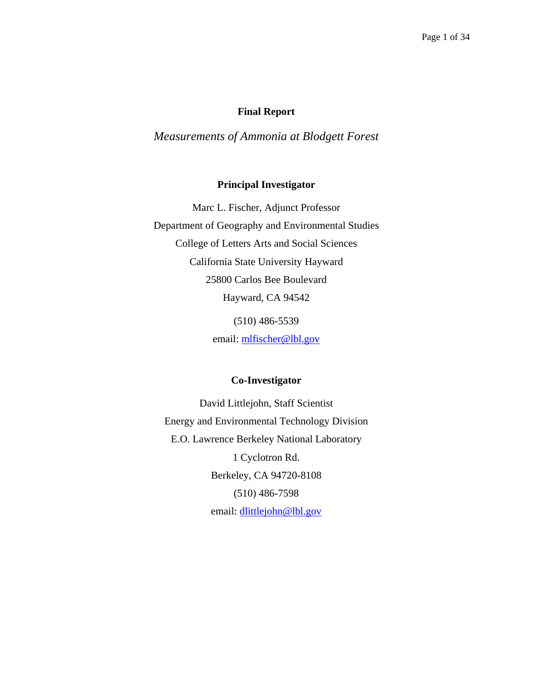### **Final Report**

# *Measurements of Ammonia at Blodgett Forest*

#### **Principal Investigator**

Marc L. Fischer, Adjunct Professor Department of Geography and Environmental Studies College of Letters Arts and Social Sciences California State University Hayward 25800 Carlos Bee Boulevard Hayward, CA 94542 (510) 486-5539

email: mlfischer@lbl.gov

### **Co-Investigator**

David Littlejohn, Staff Scientist Energy and Environmental Technology Division E.O. Lawrence Berkeley National Laboratory 1 Cyclotron Rd. Berkeley, CA 94720-8108 (510) 486-7598 email: [dlittlejohn@lbl.gov](mailto:dlittlejohn@lbl.gov)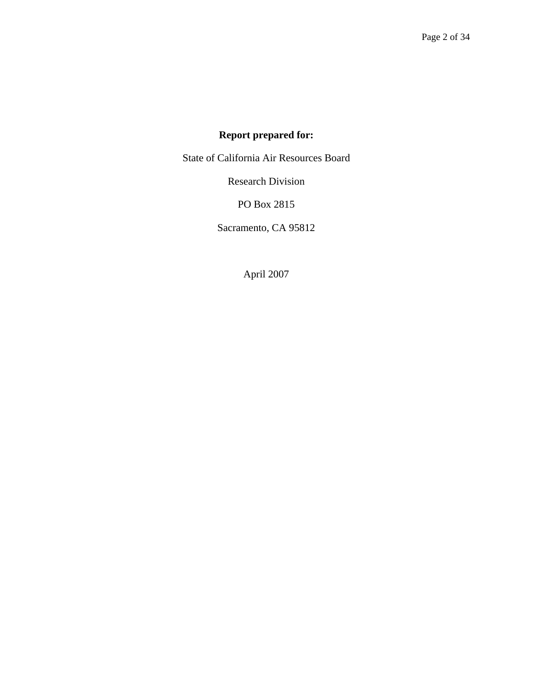# **Report prepared for:**

State of California Air Resources Board

Research Division

PO Box 2815

Sacramento, CA 95812

April 2007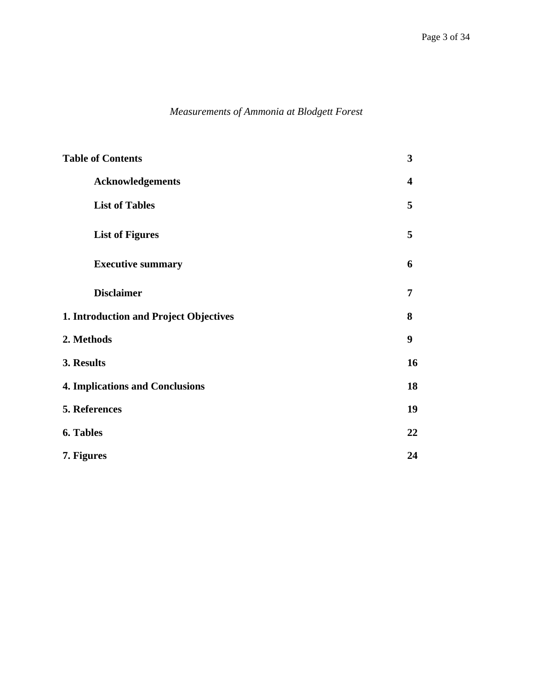# *Measurements of Ammonia at Blodgett Forest*

| <b>Table of Contents</b>               | $\mathbf{3}$            |
|----------------------------------------|-------------------------|
| <b>Acknowledgements</b>                | $\overline{\mathbf{4}}$ |
| <b>List of Tables</b>                  | 5                       |
| <b>List of Figures</b>                 | 5                       |
| <b>Executive summary</b>               | 6                       |
| <b>Disclaimer</b>                      | 7                       |
| 1. Introduction and Project Objectives | 8                       |
| 2. Methods                             | 9                       |
| 3. Results                             | 16                      |
| <b>4. Implications and Conclusions</b> | 18                      |
| 5. References                          | 19                      |
| 6. Tables                              | 22                      |
| 7. Figures                             | 24                      |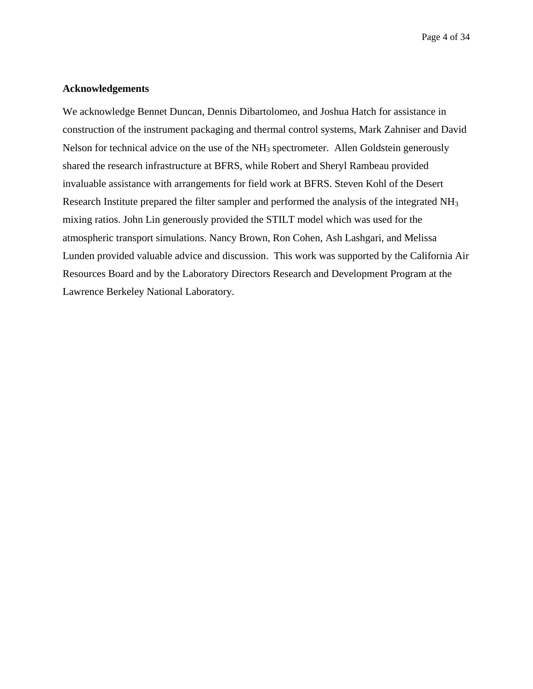#### **Acknowledgements**

We acknowledge Bennet Duncan, Dennis Dibartolomeo, and Joshua Hatch for assistance in construction of the instrument packaging and thermal control systems, Mark Zahniser and David Nelson for technical advice on the use of the NH<sub>3</sub> spectrometer. Allen Goldstein generously shared the research infrastructure at BFRS, while Robert and Sheryl Rambeau provided invaluable assistance with arrangements for field work at BFRS. Steven Kohl of the Desert Research Institute prepared the filter sampler and performed the analysis of the integrated NH3 mixing ratios. John Lin generously provided the STILT model which was used for the atmospheric transport simulations. Nancy Brown, Ron Cohen, Ash Lashgari, and Melissa Lunden provided valuable advice and discussion. This work was supported by the California Air Resources Board and by the Laboratory Directors Research and Development Program at the Lawrence Berkeley National Laboratory.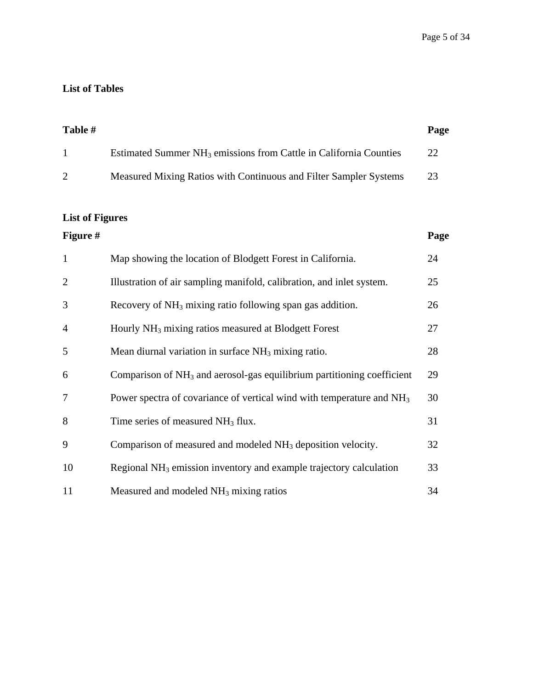# **List of Tables**

| Table # |                                                                               | Page |
|---------|-------------------------------------------------------------------------------|------|
|         | Estimated Summer NH <sub>3</sub> emissions from Cattle in California Counties | 22.  |
|         | Measured Mixing Ratios with Continuous and Filter Sampler Systems             | 23   |

# **List of Figures**

| <b>Figure #</b> |                                                                                    | Page |
|-----------------|------------------------------------------------------------------------------------|------|
| $\mathbf{1}$    | Map showing the location of Blodgett Forest in California.                         | 24   |
| $\overline{2}$  | Illustration of air sampling manifold, calibration, and inlet system.              | 25   |
| 3               | Recovery of $NH_3$ mixing ratio following span gas addition.                       | 26   |
| 4               | Hourly NH <sub>3</sub> mixing ratios measured at Blodgett Forest                   | 27   |
| 5               | Mean diurnal variation in surface $NH3$ mixing ratio.                              | 28   |
| 6               | Comparison of NH <sub>3</sub> and aerosol-gas equilibrium partitioning coefficient | 29   |
| 7               | Power spectra of covariance of vertical wind with temperature and $NH3$            | 30   |
| 8               | Time series of measured $NH3$ flux.                                                | 31   |
| 9               | Comparison of measured and modeled NH <sub>3</sub> deposition velocity.            | 32   |
| 10              | Regional $NH3$ emission inventory and example trajectory calculation               | 33   |
| 11              | Measured and modeled $NH3$ mixing ratios                                           | 34   |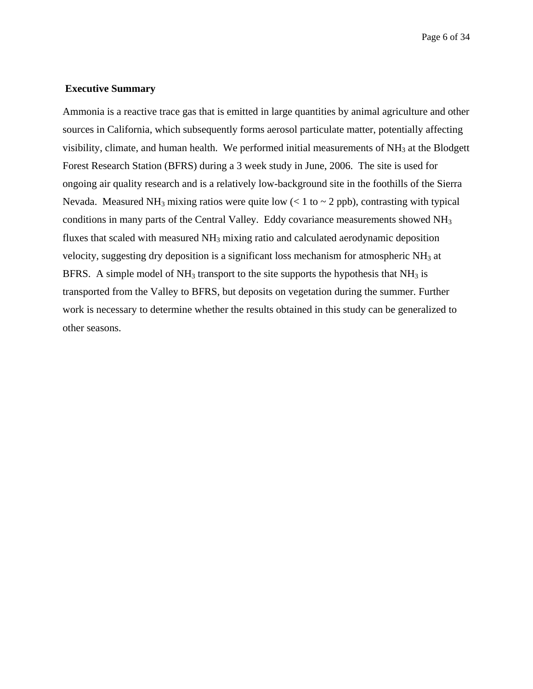Page 6 of 34

#### **Executive Summary**

Ammonia is a reactive trace gas that is emitted in large quantities by animal agriculture and other sources in California, which subsequently forms aerosol particulate matter, potentially affecting visibility, climate, and human health. We performed initial measurements of  $NH<sub>3</sub>$  at the Blodgett Forest Research Station (BFRS) during a 3 week study in June, 2006. The site is used for ongoing air quality research and is a relatively low-background site in the foothills of the Sierra Nevada. Measured NH<sub>3</sub> mixing ratios were quite low  $(< 1$  to  $\sim 2$  ppb), contrasting with typical conditions in many parts of the Central Valley. Eddy covariance measurements showed NH3 fluxes that scaled with measured  $NH<sub>3</sub>$  mixing ratio and calculated aerodynamic deposition velocity, suggesting dry deposition is a significant loss mechanism for atmospheric NH3 at BFRS. A simple model of  $NH_3$  transport to the site supports the hypothesis that  $NH_3$  is transported from the Valley to BFRS, but deposits on vegetation during the summer. Further work is necessary to determine whether the results obtained in this study can be generalized to other seasons.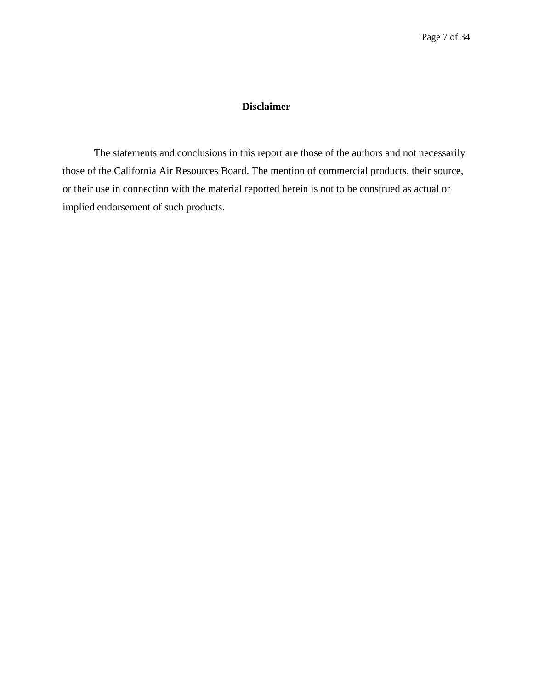### **Disclaimer**

The statements and conclusions in this report are those of the authors and not necessarily those of the California Air Resources Board. The mention of commercial products, their source, or their use in connection with the material reported herein is not to be construed as actual or implied endorsement of such products.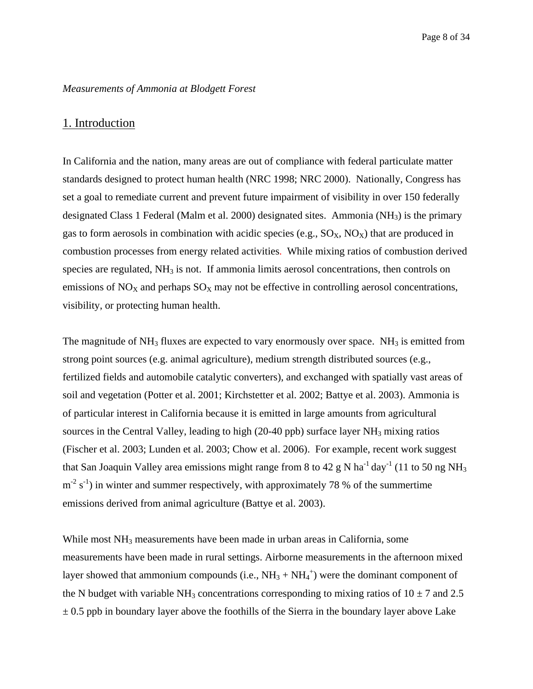#### *Measurements of Ammonia at Blodgett Forest*

#### 1. Introduction

In California and the nation, many areas are out of compliance with federal particulate matter standards designed to protect human health (NRC 1998; NRC 2000). Nationally, Congress has set a goal to remediate current and prevent future impairment of visibility in over 150 federally designated Class 1 Federal (Malm et al. 2000) designated sites. Ammonia ( $NH<sub>3</sub>$ ) is the primary gas to form aerosols in combination with acidic species (e.g.,  $SO_X$ ,  $NO_X$ ) that are produced in combustion processes from energy related activities. While mixing ratios of combustion derived species are regulated,  $NH<sub>3</sub>$  is not. If ammonia limits aerosol concentrations, then controls on emissions of  $NO<sub>X</sub>$  and perhaps  $SO<sub>X</sub>$  may not be effective in controlling aerosol concentrations, visibility, or protecting human health.

The magnitude of  $NH_3$  fluxes are expected to vary enormously over space.  $NH_3$  is emitted from strong point sources (e.g. animal agriculture), medium strength distributed sources (e.g., fertilized fields and automobile catalytic converters), and exchanged with spatially vast areas of soil and vegetation (Potter et al. 2001; Kirchstetter et al. 2002; Battye et al. 2003). Ammonia is of particular interest in California because it is emitted in large amounts from agricultural sources in the Central Valley, leading to high (20-40 ppb) surface layer  $NH_3$  mixing ratios (Fischer et al. 2003; Lunden et al. 2003; Chow et al. 2006). For example, recent work suggest that San Joaquin Valley area emissions might range from 8 to 42 g N ha<sup>-1</sup> day<sup>-1</sup> (11 to 50 ng NH<sub>3</sub>)  $m^{-2}$  s<sup>-1</sup>) in winter and summer respectively, with approximately 78 % of the summertime emissions derived from animal agriculture (Battye et al. 2003).

While most  $NH_3$  measurements have been made in urban areas in California, some measurements have been made in rural settings. Airborne measurements in the afternoon mixed layer showed that ammonium compounds (i.e.,  $NH_3 + NH_4^+$ ) were the dominant component of the N budget with variable NH<sub>3</sub> concentrations corresponding to mixing ratios of  $10 \pm 7$  and 2.5  $\pm$  0.5 ppb in boundary layer above the foothills of the Sierra in the boundary layer above Lake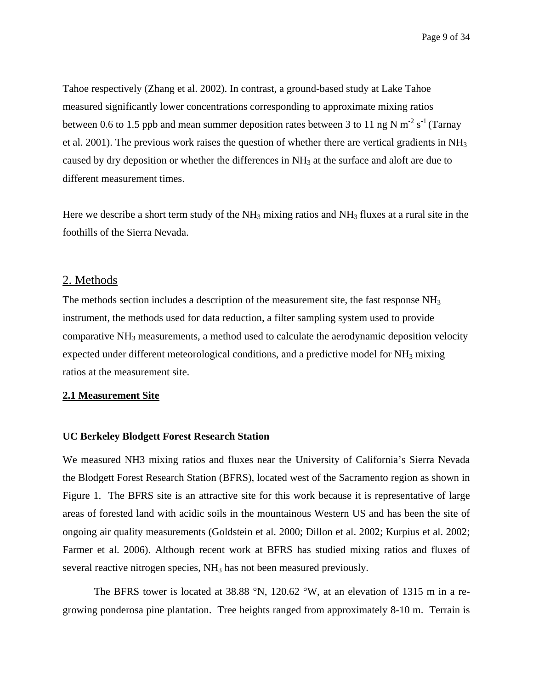Tahoe respectively (Zhang et al. 2002). In contrast, a ground-based study at Lake Tahoe measured significantly lower concentrations corresponding to approximate mixing ratios between 0.6 to 1.5 ppb and mean summer deposition rates between 3 to 11 ng N  $\text{m}^2$  s<sup>-1</sup> (Tarnay et al. 2001). The previous work raises the question of whether there are vertical gradients in NH<sub>3</sub> caused by dry deposition or whether the differences in  $NH<sub>3</sub>$  at the surface and aloft are due to different measurement times.

 foothills of the Sierra Nevada. 2. Methods Here we describe a short term study of the  $NH_3$  mixing ratios and  $NH_3$  fluxes at a rural site in the

The methods section includes a description of the measurement site, the fast response NH<sub>3</sub> instrument, the methods used for data reduction, a filter sampling system used to provide comparative NH3 measurements, a method used to calculate the aerodynamic deposition velocity expected under different meteorological conditions, and a predictive model for  $NH_3$  mixing ratios at the measurement site.

#### **2.1 Measurement Site**

#### **UC Berkeley Blodgett Forest Research Station**

We measured NH3 mixing ratios and fluxes near the University of California's Sierra Nevada the Blodgett Forest Research Station (BFRS), located west of the Sacramento region as shown in Figure 1. The BFRS site is an attractive site for this work because it is representative of large areas of forested land with acidic soils in the mountainous Western US and has been the site of ongoing air quality measurements (Goldstein et al. 2000; Dillon et al. 2002; Kurpius et al. 2002; Farmer et al. 2006). Although recent work at BFRS has studied mixing ratios and fluxes of several reactive nitrogen species, NH<sub>3</sub> has not been measured previously.

The BFRS tower is located at 38.88 °N, 120.62 °W, at an elevation of 1315 m in a regrowing ponderosa pine plantation. Tree heights ranged from approximately 8-10 m. Terrain is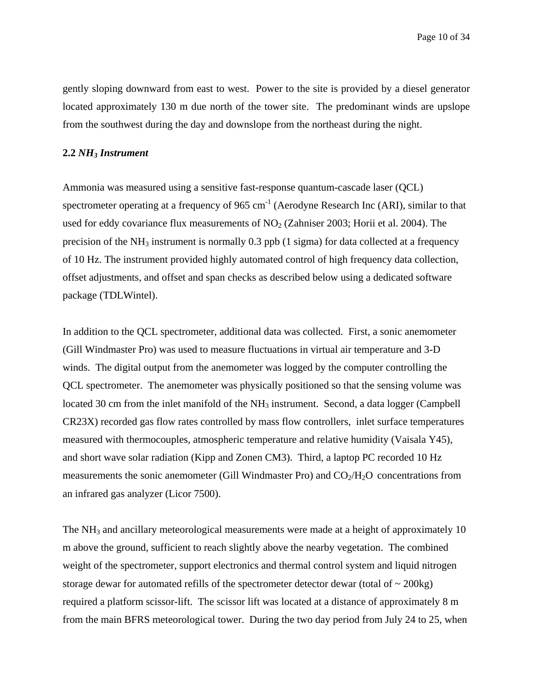Page 10 of 34

gently sloping downward from east to west. Power to the site is provided by a diesel generator located approximately 130 m due north of the tower site. The predominant winds are upslope from the southwest during the day and downslope from the northeast during the night.

#### **2.2** *NH3 Instrument*

Ammonia was measured using a sensitive fast-response quantum-cascade laser (QCL) spectrometer operating at a frequency of  $965 \text{ cm}^{-1}$  (Aerodyne Research Inc (ARI), similar to that used for eddy covariance flux measurements of  $NO<sub>2</sub>$  (Zahniser 2003; Horii et al. 2004). The precision of the  $NH_3$  instrument is normally 0.3 ppb (1 sigma) for data collected at a frequency of 10 Hz. The instrument provided highly automated control of high frequency data collection, offset adjustments, and offset and span checks as described below using a dedicated software package (TDLWintel).

In addition to the QCL spectrometer, additional data was collected. First, a sonic anemometer (Gill Windmaster Pro) was used to measure fluctuations in virtual air temperature and 3-D winds. The digital output from the anemometer was logged by the computer controlling the QCL spectrometer. The anemometer was physically positioned so that the sensing volume was located 30 cm from the inlet manifold of the  $NH_3$  instrument. Second, a data logger (Campbell CR23X) recorded gas flow rates controlled by mass flow controllers, inlet surface temperatures measured with thermocouples, atmospheric temperature and relative humidity (Vaisala Y45), and short wave solar radiation (Kipp and Zonen CM3). Third, a laptop PC recorded 10 Hz measurements the sonic anemometer (Gill Windmaster Pro) and  $CO<sub>2</sub>/H<sub>2</sub>O$  concentrations from an infrared gas analyzer (Licor 7500).

The NH<sub>3</sub> and ancillary meteorological measurements were made at a height of approximately 10 m above the ground, sufficient to reach slightly above the nearby vegetation. The combined weight of the spectrometer, support electronics and thermal control system and liquid nitrogen storage dewar for automated refills of the spectrometer detector dewar (total of  $\sim$  200kg) required a platform scissor-lift. The scissor lift was located at a distance of approximately 8 m from the main BFRS meteorological tower. During the two day period from July 24 to 25, when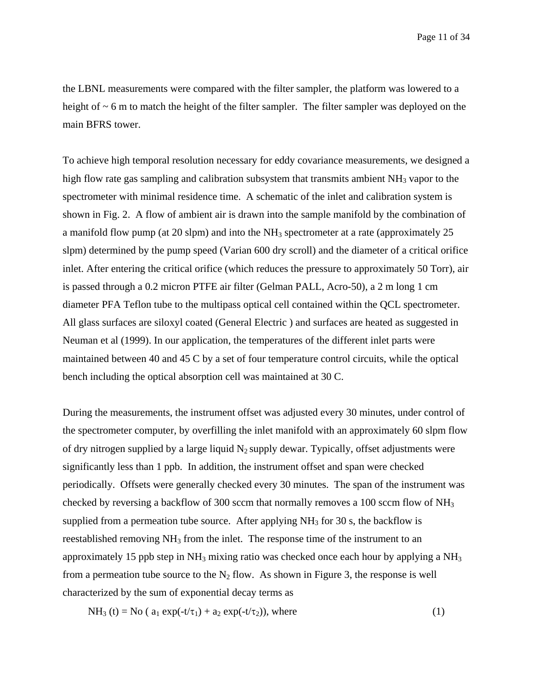the LBNL measurements were compared with the filter sampler, the platform was lowered to a height of  $\sim$  6 m to match the height of the filter sampler. The filter sampler was deployed on the main BFRS tower.

To achieve high temporal resolution necessary for eddy covariance measurements, we designed a high flow rate gas sampling and calibration subsystem that transmits ambient  $NH_3$  vapor to the spectrometer with minimal residence time. A schematic of the inlet and calibration system is shown in Fig. 2. A flow of ambient air is drawn into the sample manifold by the combination of a manifold flow pump (at 20 slpm) and into the  $NH<sub>3</sub>$  spectrometer at a rate (approximately 25 slpm) determined by the pump speed (Varian 600 dry scroll) and the diameter of a critical orifice inlet. After entering the critical orifice (which reduces the pressure to approximately 50 Torr), air is passed through a 0.2 micron PTFE air filter (Gelman PALL, Acro-50), a 2 m long 1 cm diameter PFA Teflon tube to the multipass optical cell contained within the QCL spectrometer. All glass surfaces are siloxyl coated (General Electric ) and surfaces are heated as suggested in Neuman et al (1999). In our application, the temperatures of the different inlet parts were maintained between 40 and 45 C by a set of four temperature control circuits, while the optical bench including the optical absorption cell was maintained at 30 C.

During the measurements, the instrument offset was adjusted every 30 minutes, under control of the spectrometer computer, by overfilling the inlet manifold with an approximately 60 slpm flow of dry nitrogen supplied by a large liquid  $N_2$  supply dewar. Typically, offset adjustments were significantly less than 1 ppb. In addition, the instrument offset and span were checked periodically. Offsets were generally checked every 30 minutes. The span of the instrument was checked by reversing a backflow of 300 sccm that normally removes a 100 sccm flow of NH3 supplied from a permeation tube source. After applying  $NH<sub>3</sub>$  for 30 s, the backflow is reestablished removing  $NH_3$  from the inlet. The response time of the instrument to an approximately 15 ppb step in  $NH_3$  mixing ratio was checked once each hour by applying a  $NH_3$ from a permeation tube source to the  $N_2$  flow. As shown in Figure 3, the response is well characterized by the sum of exponential decay terms as

 $NH_3(t) = No$  (  $a_1 \exp(-t/\tau_1) + a_2 \exp(-t/\tau_2)$ ), where (1)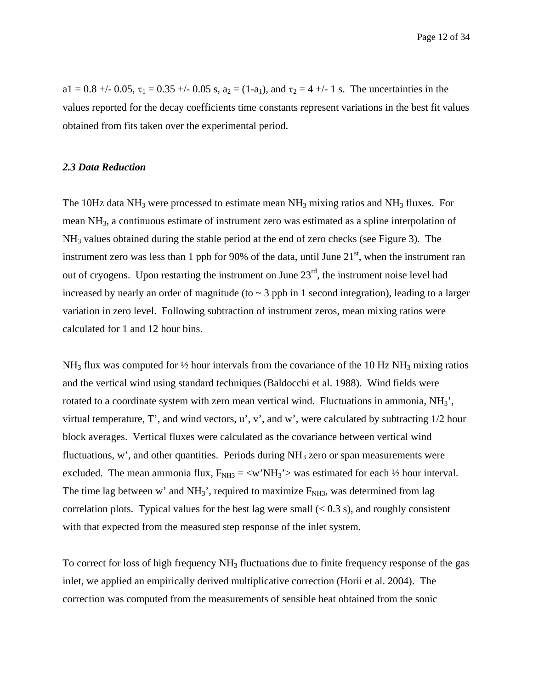Page 12 of 34

a1 = 0.8 +/- 0.05,  $\tau_1$  = 0.35 +/- 0.05 s, a<sub>2</sub> = (1-a<sub>1</sub>), and  $\tau_2$  = 4 +/- 1 s. The uncertainties in the values reported for the decay coefficients time constants represent variations in the best fit values obtained from fits taken over the experimental period.

#### *2.3 Data Reduction*

The 10Hz data  $NH_3$  were processed to estimate mean  $NH_3$  mixing ratios and  $NH_3$  fluxes. For mean NH3, a continuous estimate of instrument zero was estimated as a spline interpolation of NH3 values obtained during the stable period at the end of zero checks (see Figure 3). The instrument zero was less than 1 ppb for 90% of the data, until June  $21<sup>st</sup>$ , when the instrument ran out of cryogens. Upon restarting the instrument on June  $23<sup>rd</sup>$ , the instrument noise level had increased by nearly an order of magnitude (to  $\sim$  3 ppb in 1 second integration), leading to a larger variation in zero level. Following subtraction of instrument zeros, mean mixing ratios were calculated for 1 and 12 hour bins.

NH<sub>3</sub> flux was computed for  $\frac{1}{2}$  hour intervals from the covariance of the 10 Hz NH<sub>3</sub> mixing ratios and the vertical wind using standard techniques (Baldocchi et al. 1988). Wind fields were rotated to a coordinate system with zero mean vertical wind. Fluctuations in ammonia, NH<sub>3</sub>', virtual temperature, T', and wind vectors, u', v', and w', were calculated by subtracting 1/2 hour block averages. Vertical fluxes were calculated as the covariance between vertical wind fluctuations, w', and other quantities. Periods during  $NH<sub>3</sub>$  zero or span measurements were excluded. The mean ammonia flux,  $F_{NH3} = \langle w'NH_3 \rangle$  was estimated for each  $\frac{1}{2}$  hour interval. The time lag between w' and  $NH_3$ ', required to maximize  $F_{NH3}$ , was determined from lag correlation plots. Typical values for the best lag were small  $(< 0.3 \text{ s})$ , and roughly consistent with that expected from the measured step response of the inlet system.

To correct for loss of high frequency NH<sub>3</sub> fluctuations due to finite frequency response of the gas inlet, we applied an empirically derived multiplicative correction (Horii et al. 2004). The correction was computed from the measurements of sensible heat obtained from the sonic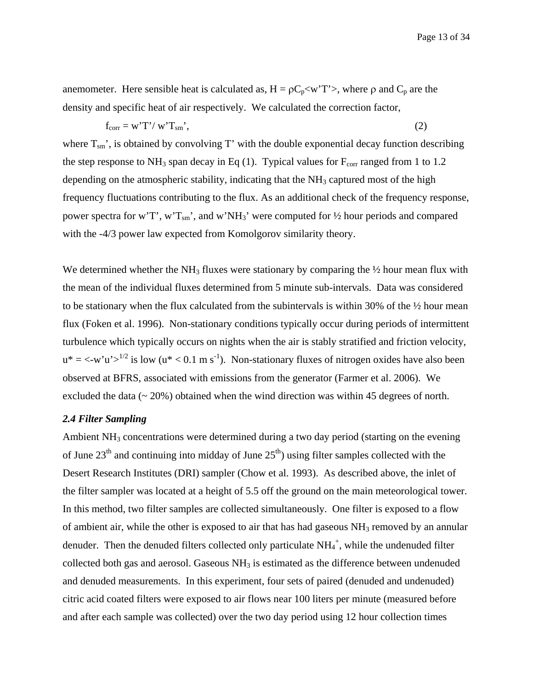anemometer. Here sensible heat is calculated as,  $H = \rho C_p < wT' >$ , where  $\rho$  and  $C_p$  are the density and specific heat of air respectively. We calculated the correction factor,

$$
f_{\text{corr}} = w' T' / w' T_{\text{sm}} \tag{2}
$$

where  $T_{\rm sm}$ , is obtained by convolving T' with the double exponential decay function describing the step response to NH<sub>3</sub> span decay in Eq (1). Typical values for  $F_{corr}$  ranged from 1 to 1.2 depending on the atmospheric stability, indicating that the  $NH<sub>3</sub>$  captured most of the high frequency fluctuations contributing to the flux. As an additional check of the frequency response, power spectra for w'T', w'T<sub>sm</sub>', and w'NH<sub>3</sub>' were computed for  $\frac{1}{2}$  hour periods and compared with the  $-4/3$  power law expected from Komolgorov similarity theory.

We determined whether the NH<sub>3</sub> fluxes were stationary by comparing the  $\frac{1}{2}$  hour mean flux with the mean of the individual fluxes determined from 5 minute sub-intervals. Data was considered to be stationary when the flux calculated from the subintervals is within 30% of the ½ hour mean flux (Foken et al. 1996). Non-stationary conditions typically occur during periods of intermittent turbulence which typically occurs on nights when the air is stably stratified and friction velocity,  $u^* = \langle -w'u'\rangle^{1/2}$  is low  $(u^* \langle 0.1 \text{ m s}^{-1})$ . Non-stationary fluxes of nitrogen oxides have also been observed at BFRS, associated with emissions from the generator (Farmer et al. 2006). We excluded the data (~ 20%) obtained when the wind direction was within 45 degrees of north.

#### *2.4 Filter Sampling*

Ambient  $NH<sub>3</sub>$  concentrations were determined during a two day period (starting on the evening of June  $23<sup>th</sup>$  and continuing into midday of June  $25<sup>th</sup>$ ) using filter samples collected with the Desert Research Institutes (DRI) sampler (Chow et al. 1993). As described above, the inlet of the filter sampler was located at a height of 5.5 off the ground on the main meteorological tower. In this method, two filter samples are collected simultaneously. One filter is exposed to a flow of ambient air, while the other is exposed to air that has had gaseous  $NH<sub>3</sub>$  removed by an annular denuder. Then the denuded filters collected only particulate  $NH_4^+$ , while the undenuded filter collected both gas and aerosol. Gaseous NH<sub>3</sub> is estimated as the difference between undenuded and denuded measurements. In this experiment, four sets of paired (denuded and undenuded) citric acid coated filters were exposed to air flows near 100 liters per minute (measured before and after each sample was collected) over the two day period using 12 hour collection times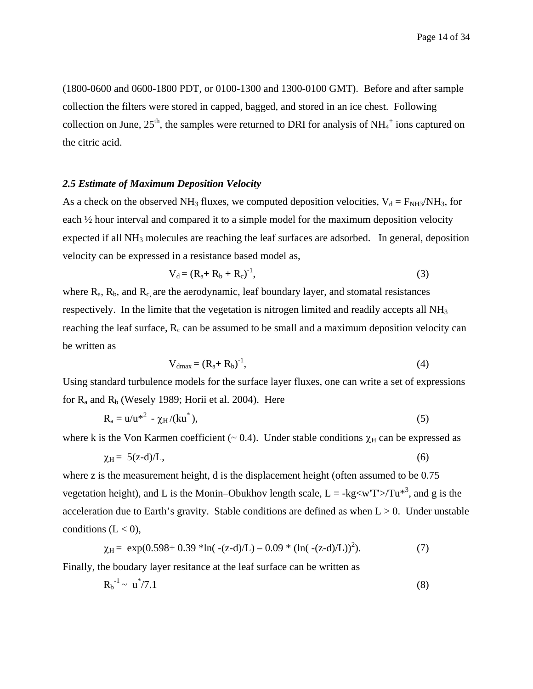Page 14 of 34

(1800-0600 and 0600-1800 PDT, or 0100-1300 and 1300-0100 GMT). Before and after sample collection the filters were stored in capped, bagged, and stored in an ice chest. Following collection on June,  $25<sup>th</sup>$ , the samples were returned to DRI for analysis of NH<sub>4</sub><sup>+</sup> ions captured on the citric acid.

#### *2.5 Estimate of Maximum Deposition Velocity*

As a check on the observed NH<sub>3</sub> fluxes, we computed deposition velocities,  $V_d = F_{NH3}/NH_3$ , for each ½ hour interval and compared it to a simple model for the maximum deposition velocity expected if all NH3 molecules are reaching the leaf surfaces are adsorbed. In general, deposition velocity can be expressed in a resistance based model as,

$$
V_d = (R_a + R_b + R_c)^{-1},
$$
\n(3)

where  $R_a$ ,  $R_b$ , and  $R_c$  are the aerodynamic, leaf boundary layer, and stomatal resistances respectively. In the limite that the vegetation is nitrogen limited and readily accepts all NH3 reaching the leaf surface,  $R_c$  can be assumed to be small and a maximum deposition velocity can be written as

$$
V_{dmax} = (R_a + R_b)^{-1},\tag{4}
$$

Using standard turbulence models for the surface layer fluxes, one can write a set of expressions for  $R_a$  and  $R_b$  (Wesely 1989; Horii et al. 2004). Here

$$
R_a = u/u^{*2} - \chi_H/(ku^*),
$$
 (5)

where k is the Von Karmen coefficient ( $\sim$  0.4). Under stable conditions  $\chi$ <sub>H</sub> can be expressed as

$$
\chi_{\rm H} = 5(\text{z-d})/\text{L},\tag{6}
$$

where z is the measurement height, d is the displacement height (often assumed to be  $0.75$ ) vegetation height), and L is the Monin–Obukhov length scale,  $L = -kg < wT > Tu^{*3}$ , and g is the acceleration due to Earth's gravity. Stable conditions are defined as when  $L > 0$ . Under unstable conditions  $(L < 0)$ ,

$$
\chi_{\rm H} = \exp(0.598 + 0.39 \cdot \ln(-(\text{z-d})/L) - 0.09 \cdot (\ln(-(\text{z-d})/L))^2). \tag{7}
$$

Finally, the boudary layer resitance at the leaf surface can be written as

$$
R_b^{-1} \sim u^*/7.1 \tag{8}
$$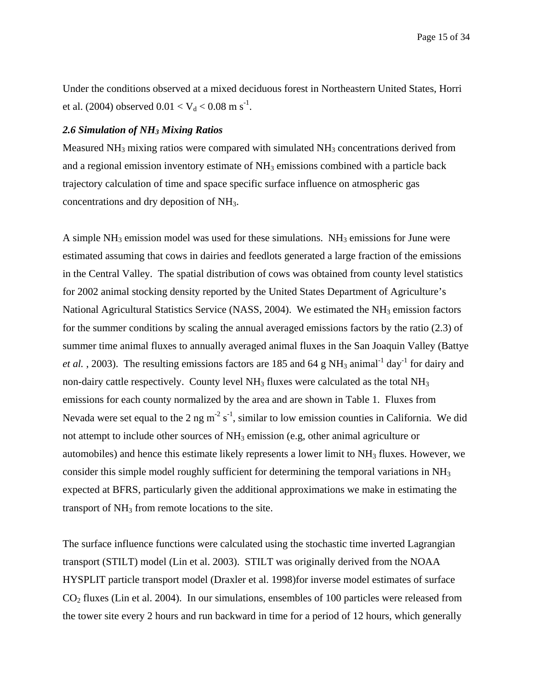Under the conditions observed at a mixed deciduous forest in Northeastern United States, Horri et al. (2004) observed  $0.01 < V_d < 0.08$  m s<sup>-1</sup>.

#### *2.6 Simulation of NH3 Mixing Ratios*

Measured  $NH<sub>3</sub>$  mixing ratios were compared with simulated  $NH<sub>3</sub>$  concentrations derived from and a regional emission inventory estimate of NH<sub>3</sub> emissions combined with a particle back trajectory calculation of time and space specific surface influence on atmospheric gas concentrations and dry deposition of NH3.

A simple  $NH_3$  emission model was used for these simulations.  $NH_3$  emissions for June were estimated assuming that cows in dairies and feedlots generated a large fraction of the emissions in the Central Valley. The spatial distribution of cows was obtained from county level statistics for 2002 animal stocking density reported by the United States Department of Agriculture's National Agricultural Statistics Service (NASS, 2004). We estimated the  $NH<sub>3</sub>$  emission factors for the summer conditions by scaling the annual averaged emissions factors by the ratio (2.3) of summer time animal fluxes to annually averaged animal fluxes in the San Joaquin Valley (Battye *et al.*, 2003). The resulting emissions factors are 185 and 64 g NH<sub>3</sub> animal<sup>-1</sup> day<sup>-1</sup> for dairy and non-dairy cattle respectively. County level  $NH<sub>3</sub>$  fluxes were calculated as the total  $NH<sub>3</sub>$ emissions for each county normalized by the area and are shown in Table 1. Fluxes from Nevada were set equal to the 2 ng m<sup>-2</sup> s<sup>-1</sup>, similar to low emission counties in California. We did not attempt to include other sources of NH<sub>3</sub> emission (e.g. other animal agriculture or automobiles) and hence this estimate likely represents a lower limit to  $NH<sub>3</sub>$  fluxes. However, we consider this simple model roughly sufficient for determining the temporal variations in NH3 expected at BFRS, particularly given the additional approximations we make in estimating the transport of  $NH<sub>3</sub>$  from remote locations to the site.

The surface influence functions were calculated using the stochastic time inverted Lagrangian transport (STILT) model (Lin et al. 2003). STILT was originally derived from the NOAA HYSPLIT particle transport model (Draxler et al. 1998)for inverse model estimates of surface CO2 fluxes (Lin et al. 2004). In our simulations, ensembles of 100 particles were released from the tower site every 2 hours and run backward in time for a period of 12 hours, which generally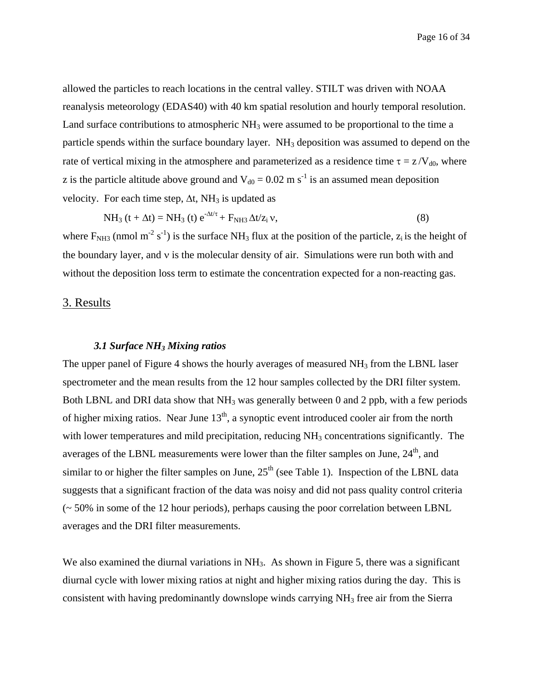allowed the particles to reach locations in the central valley. STILT was driven with NOAA reanalysis meteorology (EDAS40) with 40 km spatial resolution and hourly temporal resolution. Land surface contributions to atmospheric  $NH<sub>3</sub>$  were assumed to be proportional to the time a particle spends within the surface boundary layer.  $NH<sub>3</sub>$  deposition was assumed to depend on the rate of vertical mixing in the atmosphere and parameterized as a residence time  $\tau = z/V_{d0}$ , where z is the particle altitude above ground and  $V_{d0} = 0.02$  m s<sup>-1</sup> is an assumed mean deposition velocity. For each time step,  $\Delta t$ , NH<sub>3</sub> is updated as

$$
NH_3(t + \Delta t) = NH_3(t) e^{-\Delta t/\tau} + F_{NH3} \Delta t/z_i v,
$$
\n(8)

where  $F_{NH3}$  (nmol m<sup>-2</sup> s<sup>-1</sup>) is the surface NH<sub>3</sub> flux at the position of the particle,  $z_i$  is the height of the boundary layer, and ν is the molecular density of air. Simulations were run both with and without the deposition loss term to estimate the concentration expected for a non-reacting gas.

## 3. Results

#### *3.1 Surface NH3 Mixing ratios*

The upper panel of Figure 4 shows the hourly averages of measured  $NH_3$  from the LBNL laser spectrometer and the mean results from the 12 hour samples collected by the DRI filter system. Both LBNL and DRI data show that  $NH_3$  was generally between 0 and 2 ppb, with a few periods of higher mixing ratios. Near June  $13<sup>th</sup>$ , a synoptic event introduced cooler air from the north with lower temperatures and mild precipitation, reducing  $NH<sub>3</sub>$  concentrations significantly. The averages of the LBNL measurements were lower than the filter samples on June, 24<sup>th</sup>, and similar to or higher the filter samples on June,  $25<sup>th</sup>$  (see Table 1). Inspection of the LBNL data suggests that a significant fraction of the data was noisy and did not pass quality control criteria (~ 50% in some of the 12 hour periods), perhaps causing the poor correlation between LBNL averages and the DRI filter measurements.

We also examined the diurnal variations in NH<sub>3</sub>. As shown in Figure 5, there was a significant diurnal cycle with lower mixing ratios at night and higher mixing ratios during the day. This is consistent with having predominantly downslope winds carrying NH3 free air from the Sierra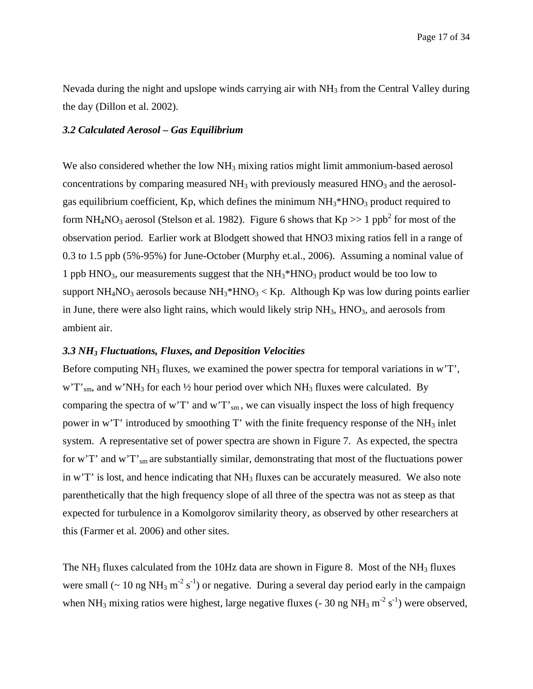Nevada during the night and upslope winds carrying air with NH<sub>3</sub> from the Central Valley during the day (Dillon et al. 2002).

#### *3.2 Calculated Aerosol – Gas Equilibrium*

We also considered whether the low  $NH<sub>3</sub>$  mixing ratios might limit ammonium-based aerosol concentrations by comparing measured  $NH_3$  with previously measured  $HNO_3$  and the aerosolgas equilibrium coefficient, Kp, which defines the minimum  $NH_3*HNO_3$  product required to form NH<sub>4</sub>NO<sub>3</sub> aerosol (Stelson et al. 1982). Figure 6 shows that Kp >> 1 ppb<sup>2</sup> for most of the observation period. Earlier work at Blodgett showed that HNO3 mixing ratios fell in a range of 0.3 to 1.5 ppb (5%-95%) for June-October (Murphy et.al., 2006). Assuming a nominal value of 1 ppb  $HNO<sub>3</sub>$ , our measurements suggest that the  $NH<sub>3</sub><sup>*</sup>HNO<sub>3</sub>$  product would be too low to support NH<sub>4</sub>NO<sub>3</sub> aerosols because NH<sub>3</sub>\*HNO<sub>3</sub> < Kp. Although Kp was low during points earlier in June, there were also light rains, which would likely strip  $NH<sub>3</sub>$ ,  $HNO<sub>3</sub>$ , and aerosols from ambient air.

#### *3.3 NH3 Fluctuations, Fluxes, and Deposition Velocities*

Before computing  $NH_3$  fluxes, we examined the power spectra for temporal variations in w'T',  $w'T'$ <sub>sm</sub>, and  $w'NH_3$  for each  $\frac{1}{2}$  hour period over which NH<sub>3</sub> fluxes were calculated. By comparing the spectra of w'T' and w'T'  $_{\rm sm}$ , we can visually inspect the loss of high frequency power in w'T' introduced by smoothing T' with the finite frequency response of the  $NH<sub>3</sub>$  inlet system. A representative set of power spectra are shown in Figure 7. As expected, the spectra for w'T' and w'T'<sub>sm</sub> are substantially similar, demonstrating that most of the fluctuations power in w'T' is lost, and hence indicating that  $NH<sub>3</sub>$  fluxes can be accurately measured. We also note parenthetically that the high frequency slope of all three of the spectra was not as steep as that expected for turbulence in a Komolgorov similarity theory, as observed by other researchers at this (Farmer et al. 2006) and other sites.

The NH<sub>3</sub> fluxes calculated from the 10Hz data are shown in Figure 8. Most of the NH<sub>3</sub> fluxes were small ( $\sim 10$  ng NH<sub>3</sub> m<sup>-2</sup> s<sup>-1</sup>) or negative. During a several day period early in the campaign when NH<sub>3</sub> mixing ratios were highest, large negative fluxes (- 30 ng NH<sub>3</sub> m<sup>-2</sup> s<sup>-1</sup>) were observed,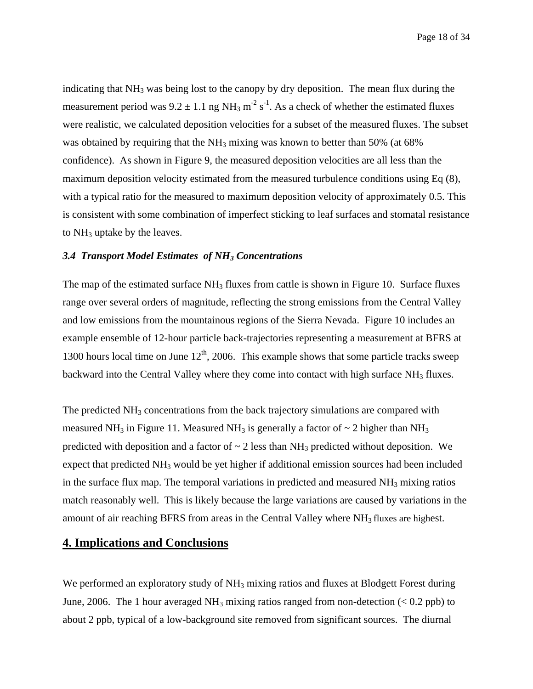indicating that  $NH_3$  was being lost to the canopy by dry deposition. The mean flux during the measurement period was  $9.2 \pm 1.1$  ng NH<sub>3</sub> m<sup>-2</sup> s<sup>-1</sup>. As a check of whether the estimated fluxes were realistic, we calculated deposition velocities for a subset of the measured fluxes. The subset was obtained by requiring that the NH<sub>3</sub> mixing was known to better than 50% (at 68%) confidence). As shown in Figure 9, the measured deposition velocities are all less than the maximum deposition velocity estimated from the measured turbulence conditions using Eq (8), with a typical ratio for the measured to maximum deposition velocity of approximately 0.5. This is consistent with some combination of imperfect sticking to leaf surfaces and stomatal resistance to NH3 uptake by the leaves.

#### *3.4 Transport Model Estimates of NH3 Concentrations*

The map of the estimated surface  $NH_3$  fluxes from cattle is shown in Figure 10. Surface fluxes range over several orders of magnitude, reflecting the strong emissions from the Central Valley and low emissions from the mountainous regions of the Sierra Nevada. Figure 10 includes an example ensemble of 12-hour particle back-trajectories representing a measurement at BFRS at 1300 hours local time on June  $12<sup>th</sup>$ , 2006. This example shows that some particle tracks sweep backward into the Central Valley where they come into contact with high surface  $NH<sub>3</sub>$  fluxes.

The predicted NH<sub>3</sub> concentrations from the back trajectory simulations are compared with measured NH<sub>3</sub> in Figure 11. Measured NH<sub>3</sub> is generally a factor of  $\sim$  2 higher than NH<sub>3</sub> predicted with deposition and a factor of  $\sim$  2 less than NH<sub>3</sub> predicted without deposition. We expect that predicted  $NH_3$  would be yet higher if additional emission sources had been included in the surface flux map. The temporal variations in predicted and measured  $NH<sub>3</sub>$  mixing ratios match reasonably well. This is likely because the large variations are caused by variations in the amount of air reaching BFRS from areas in the Central Valley where NH<sub>3</sub> fluxes are highest.

### **4. Implications and Conclusions**

We performed an exploratory study of NH<sub>3</sub> mixing ratios and fluxes at Blodgett Forest during June, 2006. The 1 hour averaged NH<sub>3</sub> mixing ratios ranged from non-detection ( $\lt 0.2$  ppb) to about 2 ppb, typical of a low-background site removed from significant sources. The diurnal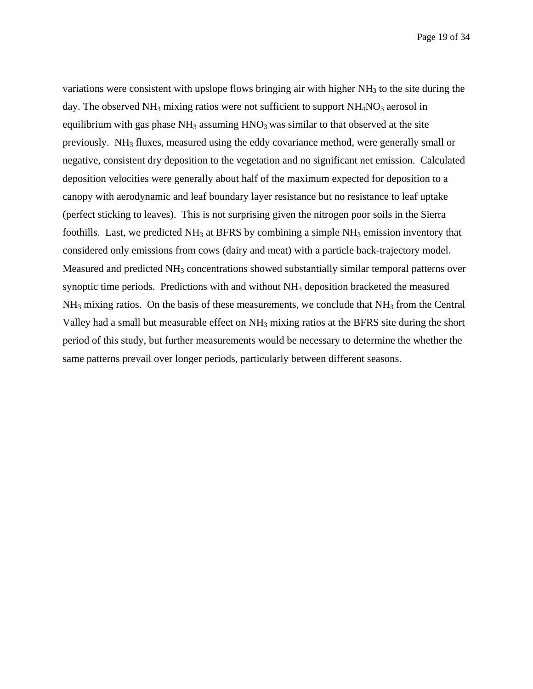variations were consistent with upslope flows bringing air with higher  $NH<sub>3</sub>$  to the site during the day. The observed  $NH_3$  mixing ratios were not sufficient to support  $NH_4NO_3$  aerosol in equilibrium with gas phase  $NH<sub>3</sub>$  assuming  $HNO<sub>3</sub>$  was similar to that observed at the site previously. NH3 fluxes, measured using the eddy covariance method, were generally small or negative, consistent dry deposition to the vegetation and no significant net emission. Calculated deposition velocities were generally about half of the maximum expected for deposition to a canopy with aerodynamic and leaf boundary layer resistance but no resistance to leaf uptake (perfect sticking to leaves). This is not surprising given the nitrogen poor soils in the Sierra foothills. Last, we predicted  $NH_3$  at BFRS by combining a simple  $NH_3$  emission inventory that considered only emissions from cows (dairy and meat) with a particle back-trajectory model. Measured and predicted  $NH_3$  concentrations showed substantially similar temporal patterns over synoptic time periods. Predictions with and without  $NH<sub>3</sub>$  deposition bracketed the measured  $NH<sub>3</sub>$  mixing ratios. On the basis of these measurements, we conclude that  $NH<sub>3</sub>$  from the Central Valley had a small but measurable effect on NH3 mixing ratios at the BFRS site during the short period of this study, but further measurements would be necessary to determine the whether the same patterns prevail over longer periods, particularly between different seasons.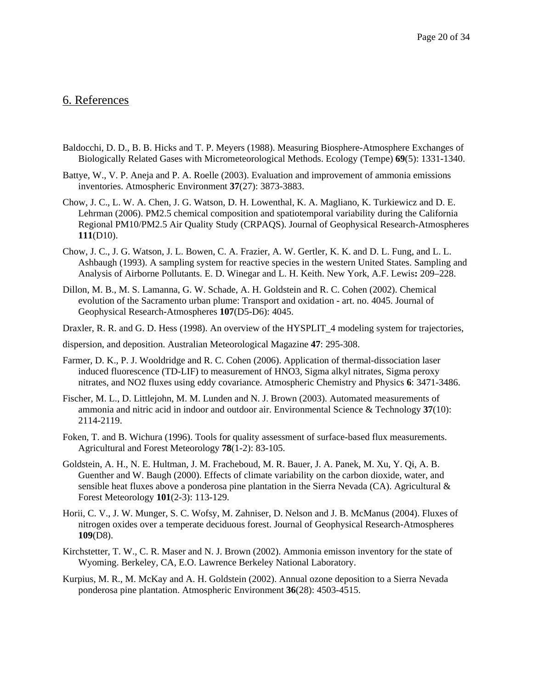### 6. References

- Baldocchi, D. D., B. B. Hicks and T. P. Meyers (1988). Measuring Biosphere-Atmosphere Exchanges of Biologically Related Gases with Micrometeorological Methods. Ecology (Tempe) **69**(5): 1331-1340.
- Battye, W., V. P. Aneja and P. A. Roelle (2003). Evaluation and improvement of ammonia emissions inventories. Atmospheric Environment **37**(27): 3873-3883.
- Chow, J. C., L. W. A. Chen, J. G. Watson, D. H. Lowenthal, K. A. Magliano, K. Turkiewicz and D. E. Lehrman (2006). PM2.5 chemical composition and spatiotemporal variability during the California Regional PM10/PM2.5 Air Quality Study (CRPAQS). Journal of Geophysical Research-Atmospheres **111**(D10).
- Chow, J. C., J. G. Watson, J. L. Bowen, C. A. Frazier, A. W. Gertler, K. K. and D. L. Fung, and L. L. Ashbaugh (1993). A sampling system for reactive species in the western United States. Sampling and Analysis of Airborne Pollutants. E. D. Winegar and L. H. Keith. New York, A.F. Lewis**:** 209–228.
- Dillon, M. B., M. S. Lamanna, G. W. Schade, A. H. Goldstein and R. C. Cohen (2002). Chemical evolution of the Sacramento urban plume: Transport and oxidation - art. no. 4045. Journal of Geophysical Research-Atmospheres **107**(D5-D6): 4045.
- Draxler, R. R. and G. D. Hess (1998). An overview of the HYSPLIT\_4 modeling system for trajectories,
- dispersion, and deposition. Australian Meteorological Magazine **47**: 295-308.
- Farmer, D. K., P. J. Wooldridge and R. C. Cohen (2006). Application of thermal-dissociation laser induced fluorescence (TD-LIF) to measurement of HNO3, Sigma alkyl nitrates, Sigma peroxy nitrates, and NO2 fluxes using eddy covariance. Atmospheric Chemistry and Physics **6**: 3471-3486.
- Fischer, M. L., D. Littlejohn, M. M. Lunden and N. J. Brown (2003). Automated measurements of ammonia and nitric acid in indoor and outdoor air. Environmental Science & Technology **37**(10): 2114-2119.
- Foken, T. and B. Wichura (1996). Tools for quality assessment of surface-based flux measurements. Agricultural and Forest Meteorology **78**(1-2): 83-105.
- Goldstein, A. H., N. E. Hultman, J. M. Fracheboud, M. R. Bauer, J. A. Panek, M. Xu, Y. Qi, A. B. Guenther and W. Baugh (2000). Effects of climate variability on the carbon dioxide, water, and sensible heat fluxes above a ponderosa pine plantation in the Sierra Nevada (CA). Agricultural  $\&$ Forest Meteorology **101**(2-3): 113-129.
- Horii, C. V., J. W. Munger, S. C. Wofsy, M. Zahniser, D. Nelson and J. B. McManus (2004). Fluxes of nitrogen oxides over a temperate deciduous forest. Journal of Geophysical Research-Atmospheres **109**(D8).
- Kirchstetter, T. W., C. R. Maser and N. J. Brown (2002). Ammonia emisson inventory for the state of Wyoming. Berkeley, CA, E.O. Lawrence Berkeley National Laboratory.
- Kurpius, M. R., M. McKay and A. H. Goldstein (2002). Annual ozone deposition to a Sierra Nevada ponderosa pine plantation. Atmospheric Environment **36**(28): 4503-4515.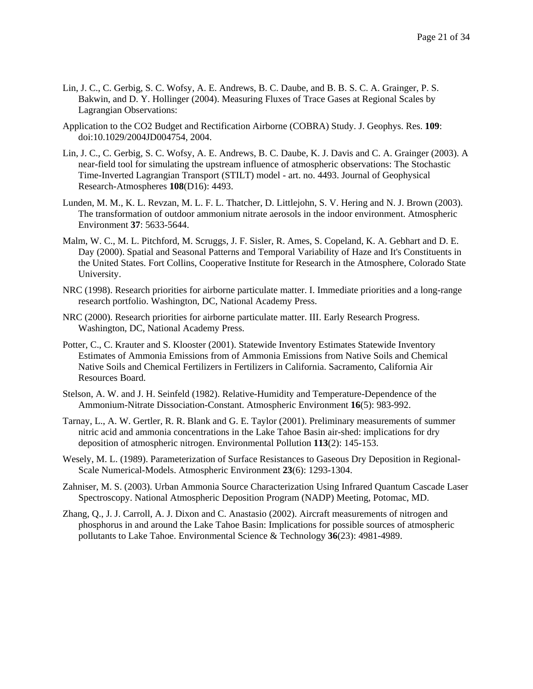- Lin, J. C., C. Gerbig, S. C. Wofsy, A. E. Andrews, B. C. Daube, and B. B. S. C. A. Grainger, P. S. Bakwin, and D. Y. Hollinger (2004). Measuring Fluxes of Trace Gases at Regional Scales by Lagrangian Observations:
- Application to the CO2 Budget and Rectification Airborne (COBRA) Study. J. Geophys. Res. **109**: doi:10.1029/2004JD004754, 2004.
- Lin, J. C., C. Gerbig, S. C. Wofsy, A. E. Andrews, B. C. Daube, K. J. Davis and C. A. Grainger (2003). A near-field tool for simulating the upstream influence of atmospheric observations: The Stochastic Time-Inverted Lagrangian Transport (STILT) model - art. no. 4493. Journal of Geophysical Research-Atmospheres **108**(D16): 4493.
- Lunden, M. M., K. L. Revzan, M. L. F. L. Thatcher, D. Littlejohn, S. V. Hering and N. J. Brown (2003). The transformation of outdoor ammonium nitrate aerosols in the indoor environment. Atmospheric Environment **37**: 5633-5644.
- Malm, W. C., M. L. Pitchford, M. Scruggs, J. F. Sisler, R. Ames, S. Copeland, K. A. Gebhart and D. E. Day (2000). Spatial and Seasonal Patterns and Temporal Variability of Haze and It's Constituents in the United States. Fort Collins, Cooperative Institute for Research in the Atmosphere, Colorado State University.
- NRC (1998). Research priorities for airborne particulate matter. I. Immediate priorities and a long-range research portfolio. Washington, DC, National Academy Press.
- NRC (2000). Research priorities for airborne particulate matter. III. Early Research Progress. Washington, DC, National Academy Press.
- Potter, C., C. Krauter and S. Klooster (2001). Statewide Inventory Estimates Statewide Inventory Estimates of Ammonia Emissions from of Ammonia Emissions from Native Soils and Chemical Native Soils and Chemical Fertilizers in Fertilizers in California. Sacramento, California Air Resources Board.
- Stelson, A. W. and J. H. Seinfeld (1982). Relative-Humidity and Temperature-Dependence of the Ammonium-Nitrate Dissociation-Constant. Atmospheric Environment **16**(5): 983-992.
- Tarnay, L., A. W. Gertler, R. R. Blank and G. E. Taylor (2001). Preliminary measurements of summer nitric acid and ammonia concentrations in the Lake Tahoe Basin air-shed: implications for dry deposition of atmospheric nitrogen. Environmental Pollution **113**(2): 145-153.
- Wesely, M. L. (1989). Parameterization of Surface Resistances to Gaseous Dry Deposition in Regional-Scale Numerical-Models. Atmospheric Environment **23**(6): 1293-1304.
- Zahniser, M. S. (2003). Urban Ammonia Source Characterization Using Infrared Quantum Cascade Laser Spectroscopy. National Atmospheric Deposition Program (NADP) Meeting, Potomac, MD.
- Zhang, Q., J. J. Carroll, A. J. Dixon and C. Anastasio (2002). Aircraft measurements of nitrogen and phosphorus in and around the Lake Tahoe Basin: Implications for possible sources of atmospheric pollutants to Lake Tahoe. Environmental Science & Technology **36**(23): 4981-4989.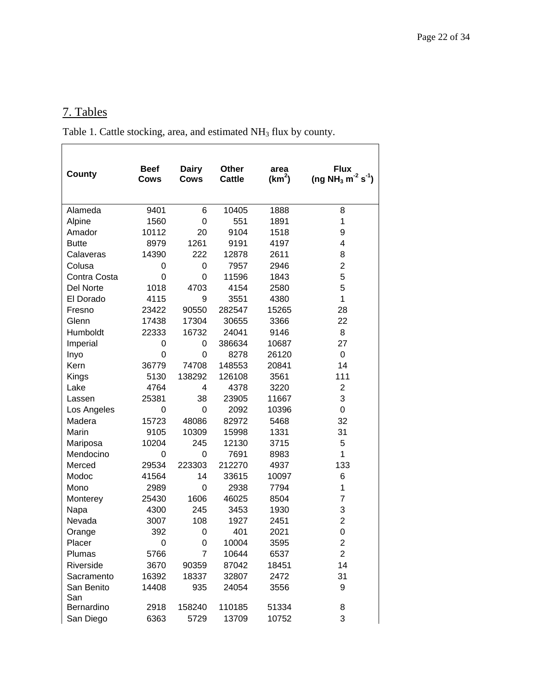# 7. Tables

Table 1. Cattle stocking, area, and estimated NH<sub>3</sub> flux by county.

| County            | <b>Beef</b><br>Cows | <b>Dairy</b><br><b>Cows</b> | <b>Other</b><br><b>Cattle</b> | area<br>(km <sup>2</sup> ) | <b>Flux</b><br>(ng NH <sub>3</sub> m <sup>-2</sup> s <sup>-1</sup> ) |
|-------------------|---------------------|-----------------------------|-------------------------------|----------------------------|----------------------------------------------------------------------|
| Alameda           | 9401                | 6                           | 10405                         | 1888                       | 8                                                                    |
| Alpine            | 1560                | $\mathbf 0$                 | 551                           | 1891                       | 1                                                                    |
| Amador            | 10112               | 20                          | 9104                          | 1518                       | 9                                                                    |
| <b>Butte</b>      | 8979                | 1261                        | 9191                          | 4197                       | 4                                                                    |
| Calaveras         | 14390               | 222                         | 12878                         | 2611                       | 8                                                                    |
| Colusa            | 0                   | 0                           | 7957                          | 2946                       | $\overline{c}$                                                       |
| Contra Costa      | $\mathbf 0$         | 0                           | 11596                         | 1843                       | 5                                                                    |
| Del Norte         | 1018                | 4703                        | 4154                          | 2580                       | 5                                                                    |
| El Dorado         | 4115                | 9                           | 3551                          | 4380                       | $\mathbf{1}$                                                         |
| Fresno            | 23422               | 90550                       | 282547                        | 15265                      | 28                                                                   |
| Glenn             | 17438               | 17304                       | 30655                         | 3366                       | 22                                                                   |
| Humboldt          | 22333               | 16732                       | 24041                         | 9146                       | 8                                                                    |
| Imperial          | 0                   | 0                           | 386634                        | 10687                      | 27                                                                   |
| Inyo              | 0                   | 0                           | 8278                          | 26120                      | $\mathbf 0$                                                          |
| Kern              | 36779               | 74708                       | 148553                        | 20841                      | 14                                                                   |
| Kings             | 5130                | 138292                      | 126108                        | 3561                       | 111                                                                  |
| Lake              | 4764                | 4                           | 4378                          | 3220                       | $\overline{2}$                                                       |
| Lassen            | 25381               | 38                          | 23905                         | 11667                      | 3                                                                    |
| Los Angeles       | 0                   | 0                           | 2092                          | 10396                      | 0                                                                    |
| Madera            | 15723               | 48086                       | 82972                         | 5468                       | 32                                                                   |
| Marin             | 9105                | 10309                       | 15998                         | 1331                       | 31                                                                   |
| Mariposa          | 10204               | 245                         | 12130                         | 3715                       | 5                                                                    |
| Mendocino         | 0                   | 0                           | 7691                          | 8983                       | $\mathbf{1}$                                                         |
| Merced            | 29534               | 223303                      | 212270                        | 4937                       | 133                                                                  |
| Modoc             | 41564               | 14                          | 33615                         | 10097                      | 6                                                                    |
| Mono              | 2989                | 0                           | 2938                          | 7794                       | 1                                                                    |
| Monterey          | 25430               | 1606                        | 46025                         | 8504                       | $\overline{7}$                                                       |
| Napa              | 4300                | 245                         | 3453                          | 1930                       | 3                                                                    |
| Nevada            | 3007                | 108                         | 1927                          | 2451                       | $\overline{c}$                                                       |
| Orange            | 392                 | 0                           | 401                           | 2021                       | 0                                                                    |
| Placer            | 0                   | 0                           | 10004                         | 3595                       | $\overline{2}$                                                       |
| Plumas            | 5766                | 7                           | 10644                         | 6537                       | $\overline{2}$                                                       |
| Riverside         | 3670                | 90359                       | 87042                         | 18451                      | 14                                                                   |
| Sacramento        | 16392               | 18337                       | 32807                         | 2472                       | 31                                                                   |
| San Benito<br>San | 14408               | 935                         | 24054                         | 3556                       | 9                                                                    |
| Bernardino        | 2918                | 158240                      | 110185                        | 51334                      | 8                                                                    |
| San Diego         | 6363                | 5729                        | 13709                         | 10752                      | 3                                                                    |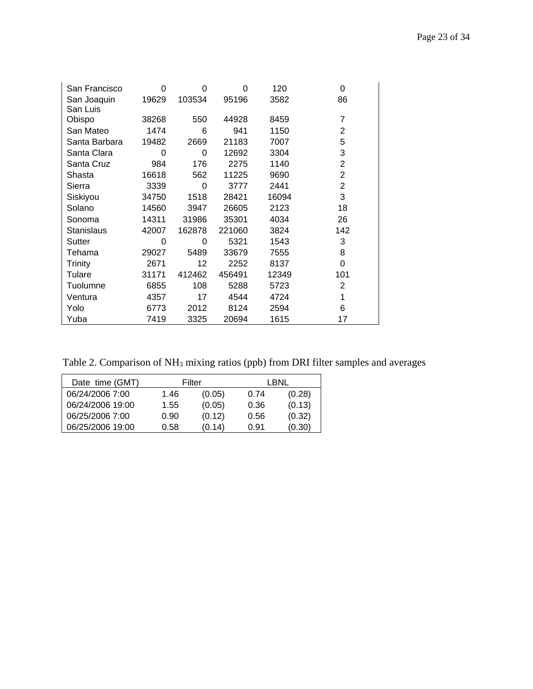| San Francisco  | 0     | 0      | 0      | 120   | 0              |
|----------------|-------|--------|--------|-------|----------------|
| San Joaquin    | 19629 | 103534 | 95196  | 3582  | 86             |
| San Luis       |       |        |        |       |                |
| Obispo         | 38268 | 550    | 44928  | 8459  | 7              |
| San Mateo      | 1474  | 6      | 941    | 1150  | 2              |
| Santa Barbara  | 19482 | 2669   | 21183  | 7007  | 5              |
| Santa Clara    | 0     | 0      | 12692  | 3304  | 3              |
| Santa Cruz     | 984   | 176    | 2275   | 1140  | $\overline{2}$ |
| Shasta         | 16618 | 562    | 11225  | 9690  | $\overline{2}$ |
| Sierra         | 3339  | 0      | 3777   | 2441  | $\overline{2}$ |
| Siskiyou       | 34750 | 1518   | 28421  | 16094 | 3              |
| Solano         | 14560 | 3947   | 26605  | 2123  | 18             |
| Sonoma         | 14311 | 31986  | 35301  | 4034  | 26             |
| Stanislaus     | 42007 | 162878 | 221060 | 3824  | 142            |
| Sutter         | 0     | 0      | 5321   | 1543  | 3              |
| Tehama         | 29027 | 5489   | 33679  | 7555  | 8              |
| <b>Trinity</b> | 2671  | 12     | 2252   | 8137  | 0              |
| Tulare         | 31171 | 412462 | 456491 | 12349 | 101            |
| Tuolumne       | 6855  | 108    | 5288   | 5723  | 2              |
| Ventura        | 4357  | 17     | 4544   | 4724  | 1              |
| Yolo           | 6773  | 2012   | 8124   | 2594  | 6              |
| Yuba           | 7419  | 3325   | 20694  | 1615  | 17             |

Table 2. Comparison of NH3 mixing ratios (ppb) from DRI filter samples and averages

| Date time (GMT)  | Filter |        | LBNL |        |
|------------------|--------|--------|------|--------|
| 06/24/2006 7:00  | 1.46   | (0.05) | 0.74 | (0.28) |
| 06/24/2006 19:00 | 1.55   | (0.05) | 0.36 | (0.13) |
| 06/25/2006 7:00  | 0.90   | (0.12) | 0.56 | (0.32) |
| 06/25/2006 19:00 | 0.58   | (0.14) | 0.91 | (0.30) |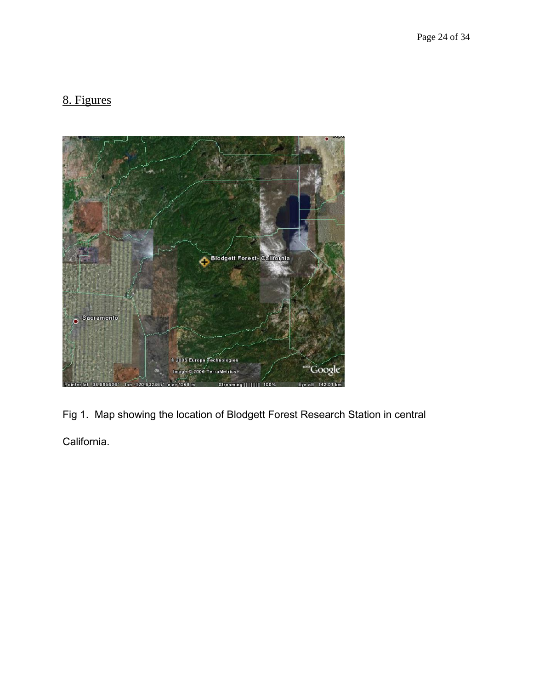# 8. Figures



Fig 1. Map showing the location of Blodgett Forest Research Station in central California.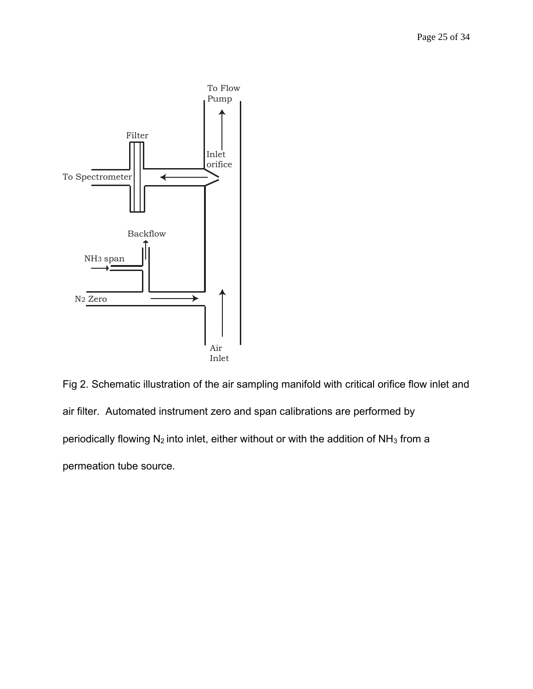

Fig 2. Schematic illustration of the air sampling manifold with critical orifice flow inlet and air filter. Automated instrument zero and span calibrations are performed by periodically flowing  $N_2$  into inlet, either without or with the addition of  $NH_3$  from a permeation tube source.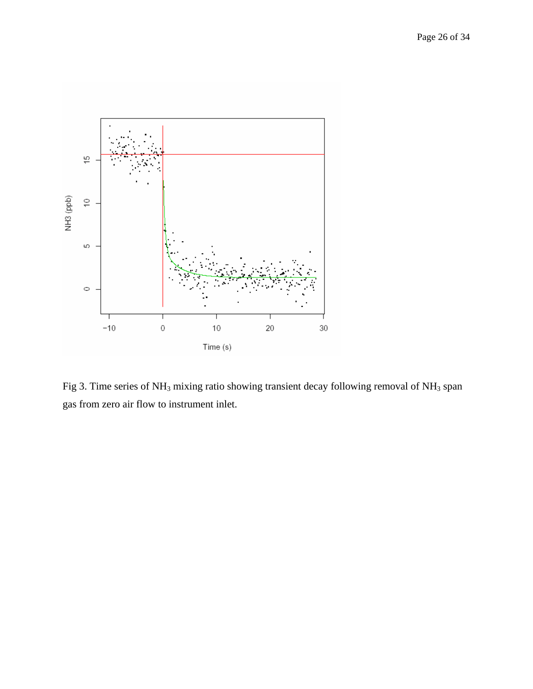

Fig 3. Time series of NH<sub>3</sub> mixing ratio showing transient decay following removal of NH<sub>3</sub> span gas from zero air flow to instrument inlet.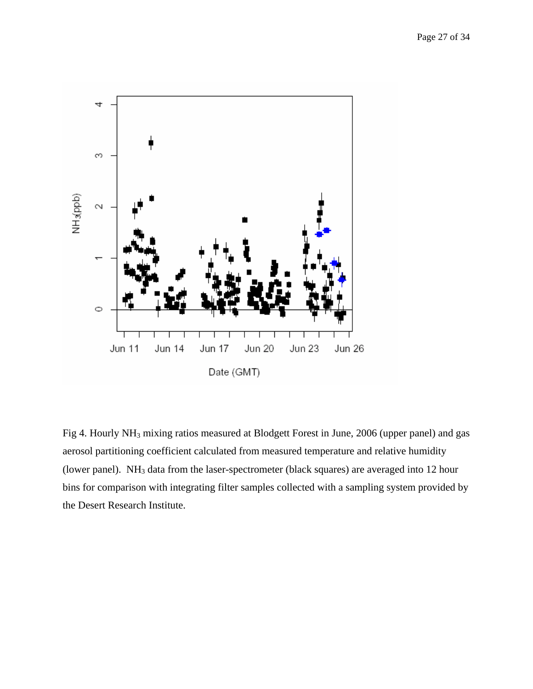

Fig 4. Hourly NH<sub>3</sub> mixing ratios measured at Blodgett Forest in June, 2006 (upper panel) and gas aerosol partitioning coefficient calculated from measured temperature and relative humidity (lower panel). NH3 data from the laser-spectrometer (black squares) are averaged into 12 hour bins for comparison with integrating filter samples collected with a sampling system provided by the Desert Research Institute.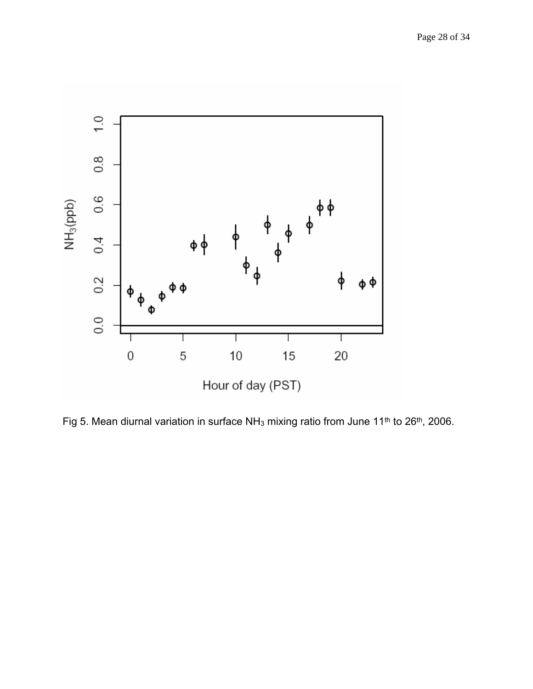

Fig 5. Mean diurnal variation in surface NH<sub>3</sub> mixing ratio from June 11<sup>th</sup> to 26<sup>th</sup>, 2006.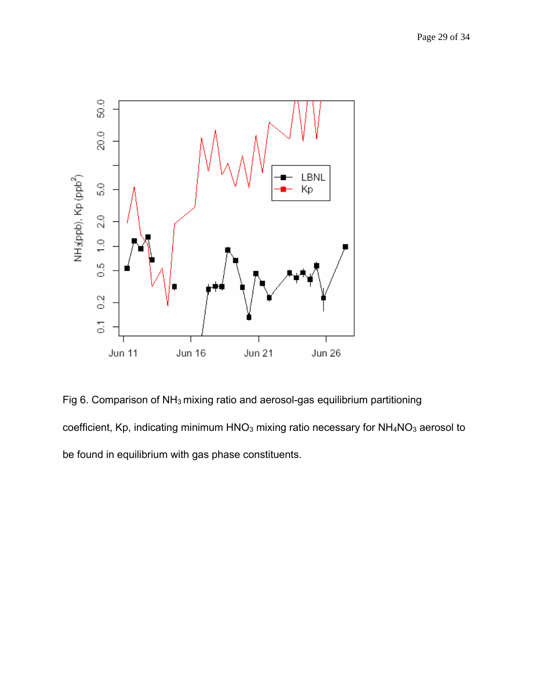

Fig 6. Comparison of NH3 mixing ratio and aerosol-gas equilibrium partitioning coefficient, Kp, indicating minimum HNO<sub>3</sub> mixing ratio necessary for NH<sub>4</sub>NO<sub>3</sub> aerosol to be found in equilibrium with gas phase constituents.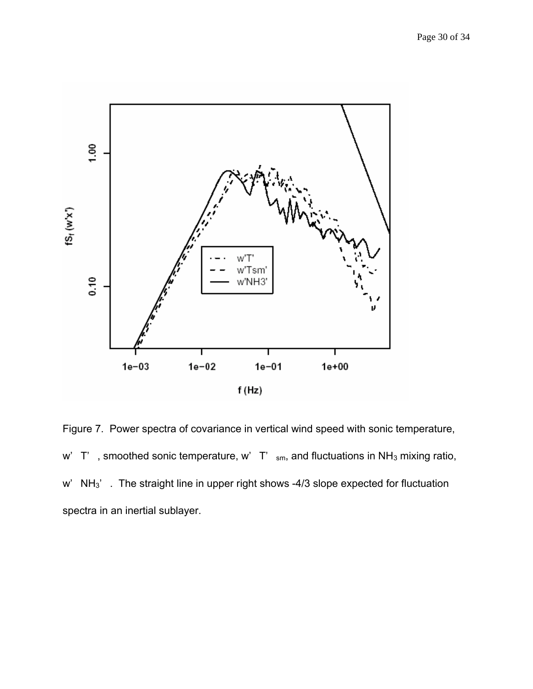

Figure 7. Power spectra of covariance in vertical wind speed with sonic temperature, w'  $T'$ , smoothed sonic temperature, w'  $T'$ <sub>sm</sub>, and fluctuations in NH<sub>3</sub> mixing ratio, w' NH<sub>3</sub>'. The straight line in upper right shows -4/3 slope expected for fluctuation spectra in an inertial sublayer.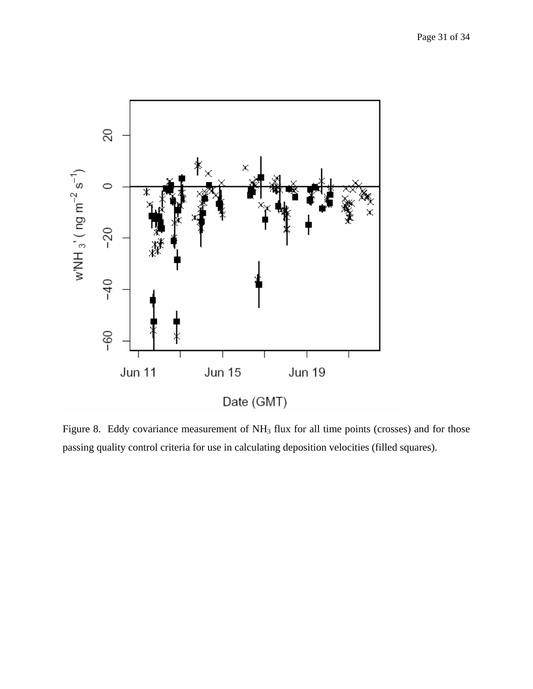

Figure 8. Eddy covariance measurement of NH<sub>3</sub> flux for all time points (crosses) and for those passing quality control criteria for use in calculating deposition velocities (filled squares).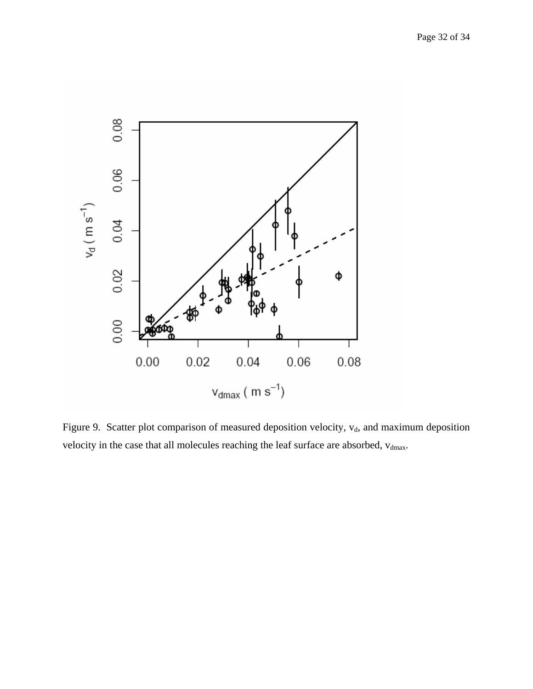

Figure 9. Scatter plot comparison of measured deposition velocity,  $v_d$ , and maximum deposition velocity in the case that all molecules reaching the leaf surface are absorbed,  $v_{dmax}$ .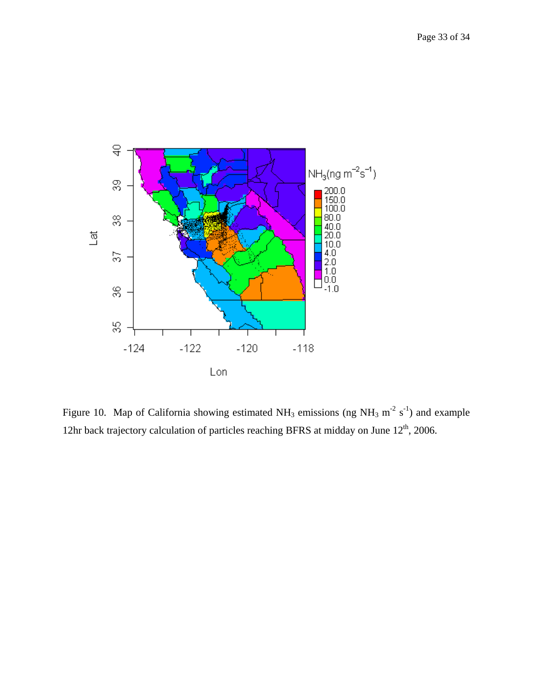

Figure 10. Map of California showing estimated NH<sub>3</sub> emissions (ng NH<sub>3</sub> m<sup>-2</sup> s<sup>-1</sup>) and example 12hr back trajectory calculation of particles reaching BFRS at midday on June  $12<sup>th</sup>$ , 2006.